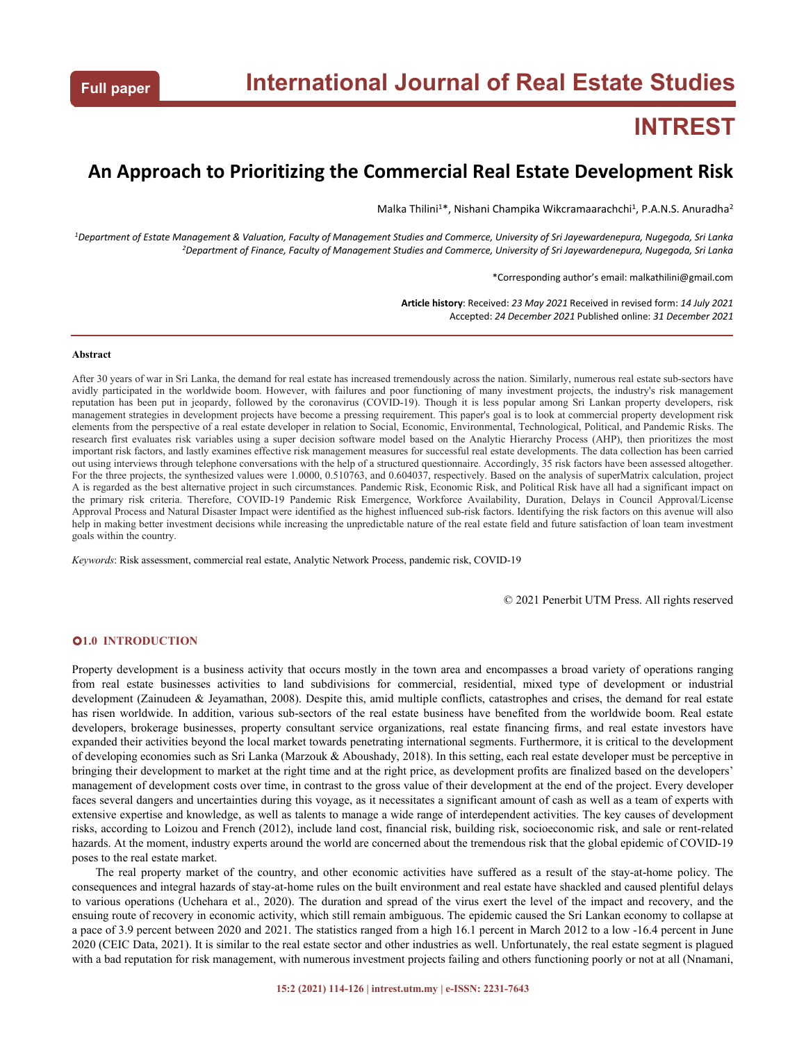# **INTREST**

# **An Approach to Prioritizing the Commercial Real Estate Development Risk**

Malka Thilini<sup>1\*</sup>, Nishani Champika Wikcramaarachchi<sup>1</sup>, P.A.N.S. Anuradha<sup>2</sup> 2

<sup>1</sup>Department of Estate Management & Valuation, Faculty of Management Studies and Commerce, University of Sri Jayewardenepura, Nugegoda, Sri Lanka <sup>2</sup>Department of Finance, Faculty of Management Studies and Commerce, University of Sri Jayewardenepura, Nugegoda, Sri Lanka

\*Corresponding author's email: malkathilini@gmail.com

**Article history**: Received: *23 May 2021* Received in revised form: *14 July 2021* Accepted: *24 December 2021* Published online: *31 December 2021*

#### **Abstract**

After 30 years of war in Sri Lanka, the demand for real estate has increased tremendously across the nation. Similarly, numerous real estate sub-sectors have avidly participated in the worldwide boom. However, with failures and poor functioning of many investment projects, the industry's risk management reputation has been put in jeopardy, followed by the coronavirus (COVID-19). Though it is less popular among Sri Lankan property developers, risk management strategies in development projects have become a pressing requirement. This paper's goal is to look at commercial property development risk elements from the perspectiveof a real estate developer in relation to Social, Economic, Environmental, Technological, Political, and Pandemic Risks. The research first evaluates risk variables using a super decision software model based on the Analytic Hierarchy Process (AHP), then prioritizes the most important risk factors, and lastly examines effective risk management measures for successful real estate developments. The data collection has been carried out using interviews through telephone conversations with the help of a structured questionnaire. Accordingly, 35 risk factors have been assessed altogether. For the three projects, the synthesized values were 1.0000, 0.510763, and 0.604037, respectively. Based on the analysis of superMatrix calculation, project A is regarded as the best alternative project in such circumstances. Pandemic Risk, Economic Risk, and Political Risk have all had a significant impact on the primary risk criteria. Therefore, COVID-19 Pandemic Risk Emergence, Workforce Availability, Duration, Delays in Council Approval/License Approval Process and Natural Disaster Impact were identified as the highest influenced sub-risk factors. Identifying the risk factors on this avenue will also help in making better investment decisions while increasing the unpredictable nature of the real estate field and future satisfaction of loan team investment goals within the country.

*Keywords*: Risk assessment, commercial real estate, Analytic Network Process, pandemic risk, COVID-19

© 2021 Penerbit UTM Press. All rights reserved

#### **1.0 INTRODUCTION**

Property development is a business activity that occurs mostly in the town area and encompasses a broad variety of operations ranging from real estate businesses activities to land subdivisions for commercial, residential, mixed type of development or industrial development (Zainudeen & Jeyamathan, 2008). Despite this, amid multiple conflicts, catastrophes and crises, the demand for real estate has risen worldwide. In addition, various sub-sectors of the real estate business have benefited from the worldwide boom. Real estate developers, brokerage businesses, property consultant service organizations, real estate financing firms, and real estate investors have expanded their activities beyond the local market towards penetrating international segments. Furthermore, it is critical to the development of developing economies such as Sri Lanka (Marzouk & Aboushady, 2018). In this setting, each real estate developer must be perceptive in bringing their development to market at the right time and at the right price, as development profits are finalized based on the developers' management of development costs over time, in contrast to the gross value of their development at the end of the project. Every developer faces several dangers and uncertainties during this voyage, as it necessitates a significant amount of cash as well as a team of experts with extensive expertise and knowledge, as well as talents to manage a wide range of interdependent activities. The key causes of development risks, according to Loizou and French (2012), include land cost, financial risk, building risk, socioeconomic risk, and sale or rent-related hazards. At the moment, industry experts around the world are concerned about the tremendous risk that the global epidemic of COVID-19 poses to the real estate market.

The real property market of the country, and other economic activities have suffered as a result of the stay-at-home policy. The consequences and integral hazards of stay-at-home rules on the built environment and real estate have shackled and caused plentiful delays to various operations (Uchehara et al., 2020). The duration and spread of the virus exert the level of the impact and recovery, and the ensuing route of recovery in economic activity, which still remain ambiguous. The epidemic caused the Sri Lankan economy to collapse at a pace of 3.9 percent between 2020 and 2021. The statistics ranged from a high 16.1 percent in March 2012 to a low -16.4 percent in June 2020 (CEIC Data, 2021). It is similar to the real estate sector and other industries as well. Unfortunately, the real estate segment is plagued with a bad reputation for risk management, with numerous investment projects failing and others functioning poorly or not at all (Nnamani,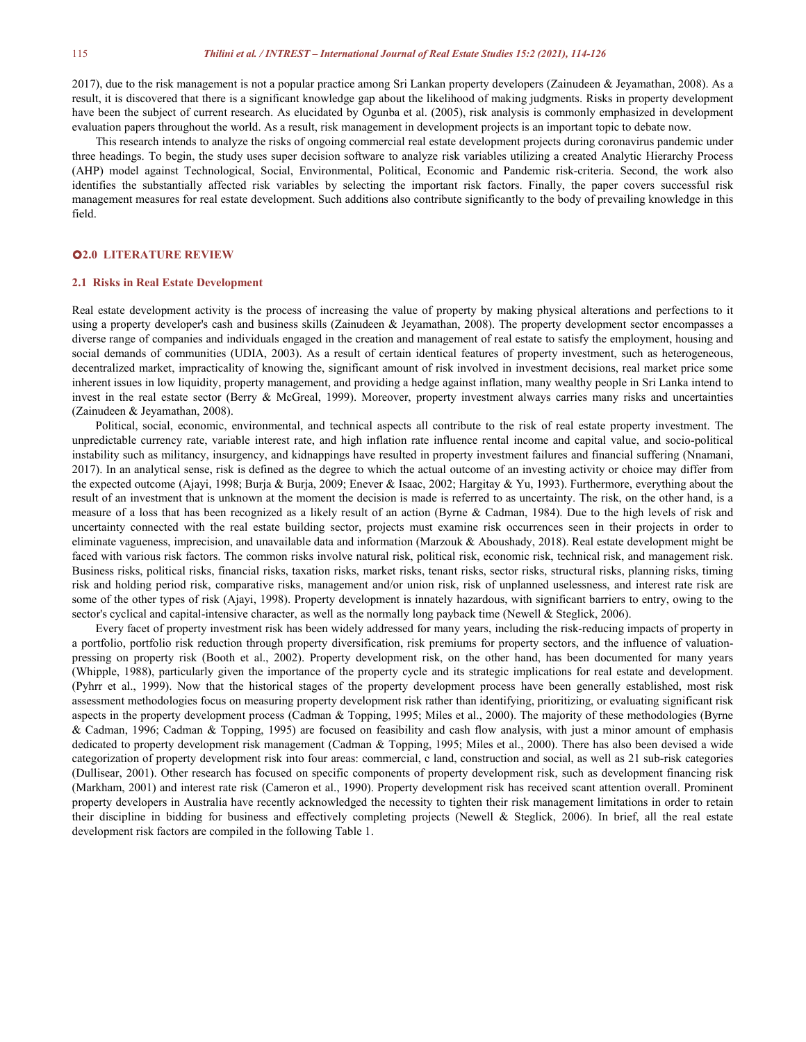2017), due to the risk management is not a popular practice among Sri Lankan property developers (Zainudeen & Jeyamathan, 2008). As a result, it is discovered that there is a significant knowledge gap about the likelihood of making judgments. Risks in property development have been the subject of current research. As elucidated by Ogunba et al. (2005), risk analysis is commonly emphasized in development evaluation papers throughout the world. As a result, risk management in development projects is an important topic to debate now.

This research intends to analyze the risks ofongoing commercial real estate development projects during coronavirus pandemic under three headings. To begin, the study usessuper decision software to analyze risk variables utilizing a created Analytic Hierarchy Process (AHP) model against Technological, Social, Environmental, Political, Economic and Pandemic risk-criteria. Second, the work also identifies the substantially affected risk variables by selecting the important risk factors. Finally, the paper covers successful risk management measures for real estate development. Such additions also contribute significantly to the body of prevailing knowledge in this field.

#### **2.0 LITERATURE REVIEW**

#### **2.1 Risks in Real Estate Development**

Real estate development activity is the process of increasing the value of property by making physical alterations and perfections to it using a property developer's cash and business skills (Zainudeen & Jeyamathan, 2008). diverse range of companies and individuals engaged in the creation and management of real estate to satisfy the employment, housing and social demands of communities (UDIA, 2003). As a result of certain identical features of property investment, such as heterogeneous, decentralized market, impracticality of knowing the, significant amount of risk involved in investment decisions, real market price some inherent issues in low liquidity, property management, and providing a hedge against inflation, many wealthy people in Sri Lanka intend to invest in the real estate sector (Berry & McGreal, 1999). Moreover, property investment always carries many risks and uncertainties (Zainudeen & Jeyamathan, 2008).

Political, social, economic, environmental, and technical aspects all contribute to the risk of real estate property investment. The unpredictable currency rate, variable interest rate, and high inflation rate influence rental income and capital value, and socio-political instability such as militancy, insurgency, and kidnappings have resulted in property investment failures and financial suffering (Nnamani, 2017). In an analytical sense, risk is defined as the degree to which the actual outcome of an investing activity or choice may differ from the expected outcome (Ajayi, 1998; Burja & Burja, 2009; Enever & Isaac, 2002; Hargitay & Yu, 1993). Furthermore, everything about the result of an investment that is unknown at the moment the decision is made is referred to as uncertainty. The risk, on the other hand, is a measure of a loss that has been recognized as a likely result of an action (Byrne & Cadman, 1984). Due to the high levels of risk and uncertainty connected with the real estate building sector, projects must examine risk occurrences seen in their projects in order to eliminate vagueness, imprecision, and unavailable data and information (Marzouk & Aboushady, 2018). Real estate development might be faced with various risk factors. The common risks involve natural risk, political risk, economic risk, technical risk, and management risk. Business risks, political risks, financial risks, taxation risks, market risks, tenant risks, sector risks, structural risks, planning risks, timing risk and holding period risk, comparative risks, management and/or union risk, risk of unplanned uselessness, and interest rate risk are some of the other types of risk (Ajayi, 1998). Property development is innately hazardous, with significant barriers to entry, owing to the sector's cyclical and capital-intensive character, as well as the normally long payback time (Newell & Steglick, 2006).

Every facet of property investment risk has been widely addressed for many years, including the risk-reducing impacts of property in a portfolio, portfolio risk reduction through property diversification, risk premiums for property sectors, and the influence of valuation pressing on property risk (Booth et al., 2002). Property development risk, on the other hand, has been documented for many years (Whipple, 1988), particularly given the importance of the property cycle and its strategic implications for real estate and development. (Pyhrr et al., 1999). Now that the historical stages of the property development process have been generally established, most risk assessment methodologies focus on measuring property development risk rather than identifying, prioritizing, or evaluating significant risk aspects in the property development process (Cadman & Topping, 1995; Miles et al., 2000). The majority of these methodologies (Byrne & Cadman, 1996; Cadman & Topping, 1995) are focused on feasibility and cash flow analysis, with just a minor amount of emphasis dedicated to property development risk management (Cadman & Topping, 1995; Miles et al.,2000). There has also been devised a wide categorization of property development risk into four areas: commercial, c land, construction and social, as well as 21 sub-risk categories (Dullisear, 2001). Other research has focused on specific components of property development risk, such as development financing risk (Markham, 2001) and interest rate risk (Cameron et al., 1990). Property development risk has received scant attention overall. Prominent property developers in Australia have recently acknowledged the necessity to tighten their risk management limitations in order to retain their discipline in bidding for business and effectively completing projects (Newell & Steglick, 2006). In brief, all the real estate development risk factors are compiled in the following Table 1.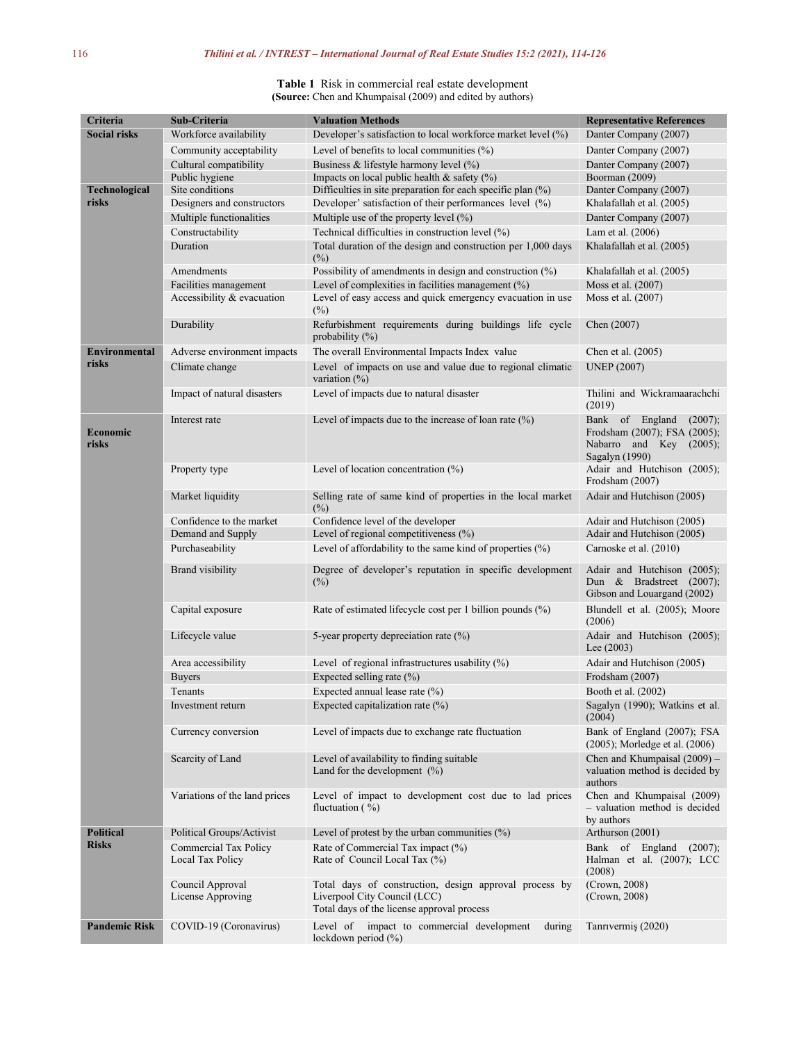#### **Table 1** Risk in commercial real estate development **(Source:** Chen and Khumpaisal (2009) and edited by authors)

| Criteria            | Sub-Criteria                              | <b>Valuation Methods</b>                                                                                                             | <b>Representative References</b>                                                                        |  |
|---------------------|-------------------------------------------|--------------------------------------------------------------------------------------------------------------------------------------|---------------------------------------------------------------------------------------------------------|--|
| <b>Social risks</b> | Workforce availability                    | Developer's satisfaction to local workforce market level (%)                                                                         | Danter Company (2007)                                                                                   |  |
|                     | Community acceptability                   | Level of benefits to local communities $(\%)$                                                                                        | Danter Company (2007)                                                                                   |  |
|                     | Cultural compatibility                    | Business & lifestyle harmony level (%)                                                                                               | Danter Company (2007)                                                                                   |  |
|                     | Public hygiene                            | Impacts on local public health & safety $(\%)$                                                                                       | Boorman (2009)                                                                                          |  |
| Technological       | Site conditions                           | Difficulties in site preparation for each specific plan (%)                                                                          | Danter Company (2007)                                                                                   |  |
| risks               | Designers and constructors                | Developer' satisfaction of their performances level (%)                                                                              | Khalafallah et al. (2005)                                                                               |  |
|                     | Multiple functionalities                  | Multiple use of the property level (%)                                                                                               | Danter Company (2007)                                                                                   |  |
|                     | Constructability                          | Technical difficulties in construction level (%)                                                                                     | Lam et al. $(2006)$                                                                                     |  |
|                     | Duration                                  | Total duration of the design and construction per 1,000 days<br>$(\%)$                                                               | Khalafallah et al. (2005)                                                                               |  |
|                     | Amendments                                | Possibility of amendments in design and construction $(\%)$                                                                          | Khalafallah et al. (2005)                                                                               |  |
|                     | Facilities management                     | Level of complexities in facilities management (%)                                                                                   | Moss et al. (2007)                                                                                      |  |
|                     | Accessibility & evacuation                | Level of easy access and quick emergency evacuation in use<br>$(\%)$                                                                 | Moss et al. (2007)                                                                                      |  |
|                     | Durability                                | Refurbishment requirements during buildings life cycle<br>probability $(\%)$                                                         | Chen (2007)                                                                                             |  |
| Environmental       | Adverse environment impacts               | The overall Environmental Impacts Index value                                                                                        | Chen et al. (2005)                                                                                      |  |
| risks               | Climate change                            | Level of impacts on use and value due to regional climatic<br>variation (%)                                                          | <b>UNEP</b> (2007)                                                                                      |  |
|                     | Impact of natural disasters               | Level of impacts due to natural disaster                                                                                             | Thilini and Wickramaarachchi<br>(2019)                                                                  |  |
| Economic<br>risks   | Interest rate                             | Level of impacts due to the increase of loan rate $(\%)$                                                                             | Bank of England<br>(2007);<br>Frodsham (2007); FSA (2005);<br>Nabarro and Key (2005);<br>Sagalyn (1990) |  |
|                     | Property type                             | Level of location concentration (%)                                                                                                  | Adair and Hutchison (2005);<br>Frodsham (2007)                                                          |  |
|                     | Market liquidity                          | Selling rate of same kind of properties in the local market<br>$(\%)$                                                                | Adair and Hutchison (2005)                                                                              |  |
|                     | Confidence to the market                  | Confidence level of the developer                                                                                                    | Adair and Hutchison (2005)                                                                              |  |
|                     | Demand and Supply                         | Level of regional competitiveness $(\%)$                                                                                             | Adair and Hutchison (2005)                                                                              |  |
|                     | Purchaseability                           | Level of affordability to the same kind of properties $(\%)$                                                                         | Carnoske et al. (2010)                                                                                  |  |
|                     | <b>Brand</b> visibility                   | Degree of developer's reputation in specific development<br>$(\%)$                                                                   | Adair and Hutchison (2005);<br>Dun & Bradstreet (2007);<br>Gibson and Louargand (2002)                  |  |
|                     | Capital exposure                          | Rate of estimated lifecycle cost per 1 billion pounds (%)                                                                            | Blundell et al. (2005); Moore<br>(2006)                                                                 |  |
|                     | Lifecycle value                           | 5-year property depreciation rate (%)                                                                                                | Adair and Hutchison (2005);<br>Lee $(2003)$                                                             |  |
|                     | Area accessibility                        | Level of regional infrastructures usability (%)                                                                                      | Adair and Hutchison (2005)                                                                              |  |
|                     | <b>Buyers</b>                             | Expected selling rate (%)                                                                                                            | Frodsham (2007)                                                                                         |  |
|                     | Tenants                                   | Expected annual lease rate (%)                                                                                                       | Booth et al. (2002)                                                                                     |  |
|                     | Investment return                         | Expected capitalization rate (%)                                                                                                     | Sagalyn (1990); Watkins et al.<br>(2004)                                                                |  |
|                     | Currency conversion                       | Bank of England (2007); FSA<br>Level of impacts due to exchange rate fluctuation<br>$(2005)$ ; Morledge et al. $(2006)$              |                                                                                                         |  |
|                     | Scarcity of Land                          | Level of availability to finding suitable<br>Land for the development $(\%)$                                                         | Chen and Khumpaisal $(2009)$ –<br>valuation method is decided by<br>authors                             |  |
|                     | Variations of the land prices             | Level of impact to development cost due to lad prices<br>fluctuation $(\frac{9}{0})$                                                 | Chen and Khumpaisal (2009)<br>- valuation method is decided<br>by authors                               |  |
| <b>Political</b>    | Political Groups/Activist                 | Level of protest by the urban communities $(\%)$                                                                                     | Arthurson (2001)                                                                                        |  |
| <b>Risks</b>        | Commercial Tax Policy<br>Local Tax Policy | Rate of Commercial Tax impact (%)<br>Rate of Council Local Tax (%)                                                                   | Bank of England (2007);<br>Halman et al. (2007); LCC<br>(2008)                                          |  |
|                     | Council Approval<br>License Approving     | Total days of construction, design approval process by<br>Liverpool City Council (LCC)<br>Total days of the license approval process | (Crown, 2008)<br>(Crown, 2008)                                                                          |  |
| Pandemic Risk       | COVID-19 (Coronavirus)                    | Level of impact to commercial development<br>during<br>lockdown period $(\%)$                                                        | Tanrivermiş (2020)                                                                                      |  |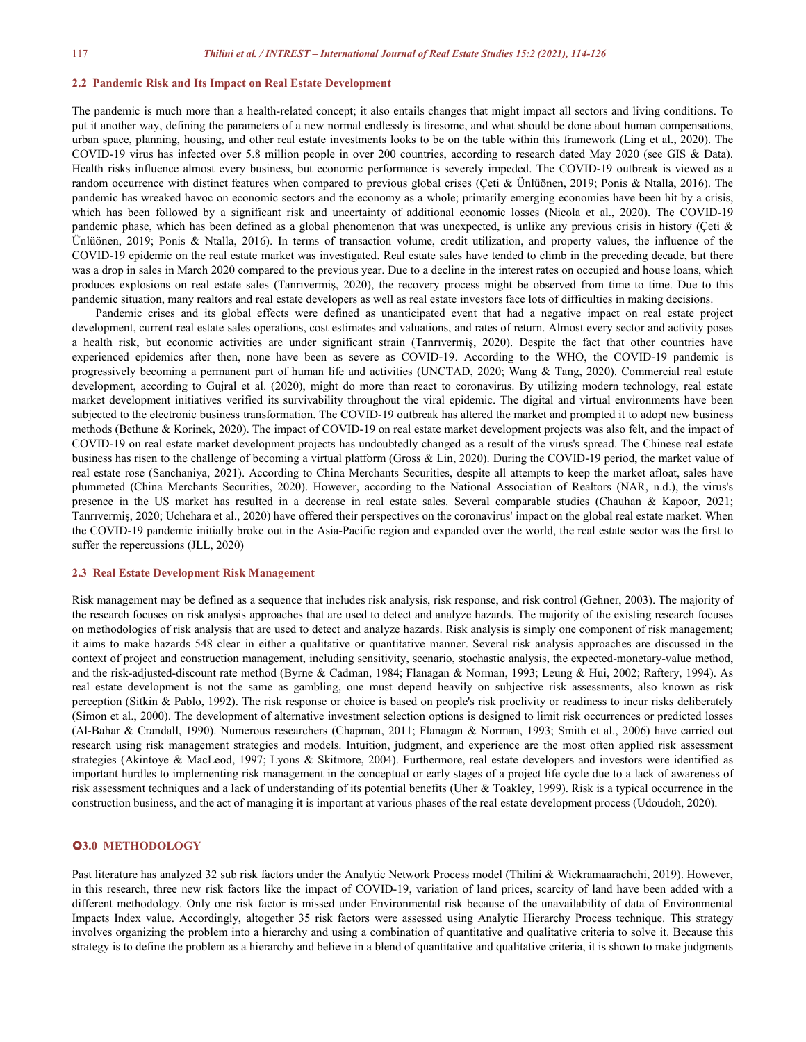#### **2.2 Pandemic Risk and Its Impact on Real Estate Development**

The pandemic is much more than a health-related concept; it also entails changes that might impact all sectors and living conditions. To put it another way, defining the parameters of a new normal endlessly is tiresome, and what should be done about human compensations, urban space, planning, housing, and other real estate investments looks to be on the table within this framework (Ling et al., 2020). The COVID-19 virus has infected over 5.8 million people in over 200 countries, according to research dated May 2020 (see GIS & Data). Health risks influence almost every business, but economic performance is severely impeded. The COVID-19 outbreak is viewed as a random occurrence with distinct features when compared to previous global crises (Çeti & Ünlüönen, 2019; Ponis & Ntalla, 2016). The pandemic has wreaked havoc on economic sectors and the economy as a whole; primarily emerging economies have been hit by a crisis, which has been followed by a significant risk and uncertainty of additional economic losses (Nicola et al., 2020). The COVID-19 pandemic phase, which has been defined as a global phenomenon that was unexpected, is unlike any previous crisis in history (Çeti & Ünlüönen, 2019; Ponis & Ntalla, 2016). In terms of transaction volume, credit utilization, and property values, the influence of the COVID-19 epidemic on the real estate marketwas investigated. Real estate sales have tended to climb in the preceding decade, but there was a drop in salesin March 2020 compared to the previous year. Due to a decline in the interest rates on occupied and house loans, which produces explosions on real estate sales (Tanrıvermiş, 2020), the recovery process might be observed from time to time.Due to this pandemic situation, many realtors and real estate developers as well as real estate investors face lots of difficulties in making decisions.

Pandemic crises and its global effects were defined as unanticipated event that had a negative impact on real estate project development, current real estate sales operations, cost estimates and valuations, and ratesof return. Almost every sector and activity poses a health risk, but economic activities are under significant strain (Tanrıvermiş, 2020). Despite the fact that other countries have experienced epidemics after then, none have been as severe as COVID-19. According to the WHO, the COVID-19 pandemic is progressively becoming a permanent part of human life and activities (UNCTAD, 2020; Wang & Tang, 2020). Commercial real estate development, according to Gujral et al. (2020), might do more than react to coronavirus. By utilizing modern technology, real estate market development initiatives verified its survivability throughout the viral epidemic. The digital and virtual environments have been subjected to the electronic business transformation. The COVID-19 outbreak has altered the market and prompted it to adopt new business methods (Bethune & Korinek, 2020). The impact of COVID-19 on real estate market development projects was also felt, and the impact of COVID-19 on real estate market development projects has undoubtedly changed as a result of the virus's spread. The Chinese real estate business has risen to the challenge of becoming a virtual platform (Gross & Lin, 2020). During the COVID-19 period, the market value of real estate rose (Sanchaniya, 2021). According to China Merchants Securities, despite all attempts to keep the market afloat, sales have plummeted (China Merchants Securities, 2020). However, according to the National Association of Realtors (NAR, n.d.), the virus's presence in the US market has resulted in a decrease in real estate sales. Several comparable studies (Chauhan & Kapoor, 2021; Tanrıvermiş, 2020; Uchehara et al., 2020) have offered their perspectives on the coronavirus' impact on the globalreal estate market. When the COVID-19 pandemic initially broke out in the Asia-Pacific region and expanded over the world, the real estate sector was the first to suffer the repercussions (JLL, 2020)

#### **2.3 Real Estate Development Risk Management**

Risk management may be defined as a sequence that includes risk analysis, risk response, and risk control (Gehner, 2003). The majority of the research focuses on risk analysis approaches that are used to detect and analyze hazards. The majority of the existing research focuses on methodologies ofrisk analysis that are used to detect and analyze hazards. Risk analysis is simply one component of risk management; it aims to make hazards 548 clear in either a qualitative or quantitative manner. Several risk analysis approaches are discussed in the context of project and construction management, including sensitivity, scenario, stochastic analysis,the expected-monetary-value method, and the risk-adjusted-discount rate method (Byrne & Cadman, 1984; Flanagan & Norman, 1993; Leung & Hui, 2002; Raftery, 1994). As real estate development is not the same as gambling, one must depend heavily on subjective risk assessments, also known as risk perception (Sitkin & Pablo, 1992). The risk response or choice is based on people's risk proclivity or readiness to incur risks deliberately (Simon et al., 2000). The development of alternative investment selection options is designed to limit risk occurrences or predicted losses (Al-Bahar & Crandall, 1990). Numerous researchers (Chapman, 2011; Flanagan & Norman, 1993; Smith et al., 2006) have carried out research using risk management strategies and models. Intuition, judgment, and experience are the most often applied risk assessment strategies (Akintoye & MacLeod, 1997; Lyons & Skitmore, 2004). Furthermore, real estate developers and investors were identified as important hurdles to implementing risk management in the conceptual or early stages of a project life cycle due to a lack of awareness of risk assessment techniques and a lack of understanding of its potential benefits (Uher & Toakley, 1999). Risk is a typical occurrence in the construction business, and the act of managing it is important at various phases of the real estate development process (Udoudoh, 2020).

#### **3.0 METHODOLOGY**

Past literature has analyzed 32 sub risk factors under the Analytic Network Process model (Thilini & Wickramaarachchi, 2019). However, in this research, three new risk factors like the impact of COVID-19, variation of land prices, scarcity of land have been added with a different methodology. Only one risk factor is missed under Environmental risk because of the unavailability of data of Environmental Impacts Index value. Accordingly, altogether 35 risk factors were assessed using Analytic Hierarchy Process technique. This strategy involves organizing the problem into a hierarchy and using a combination of quantitative and qualitative criteria to solve it. Because this strategy is to define the problem as a hierarchy and believe in a blend of quantitative and qualitative criteria, it is shown to make judgments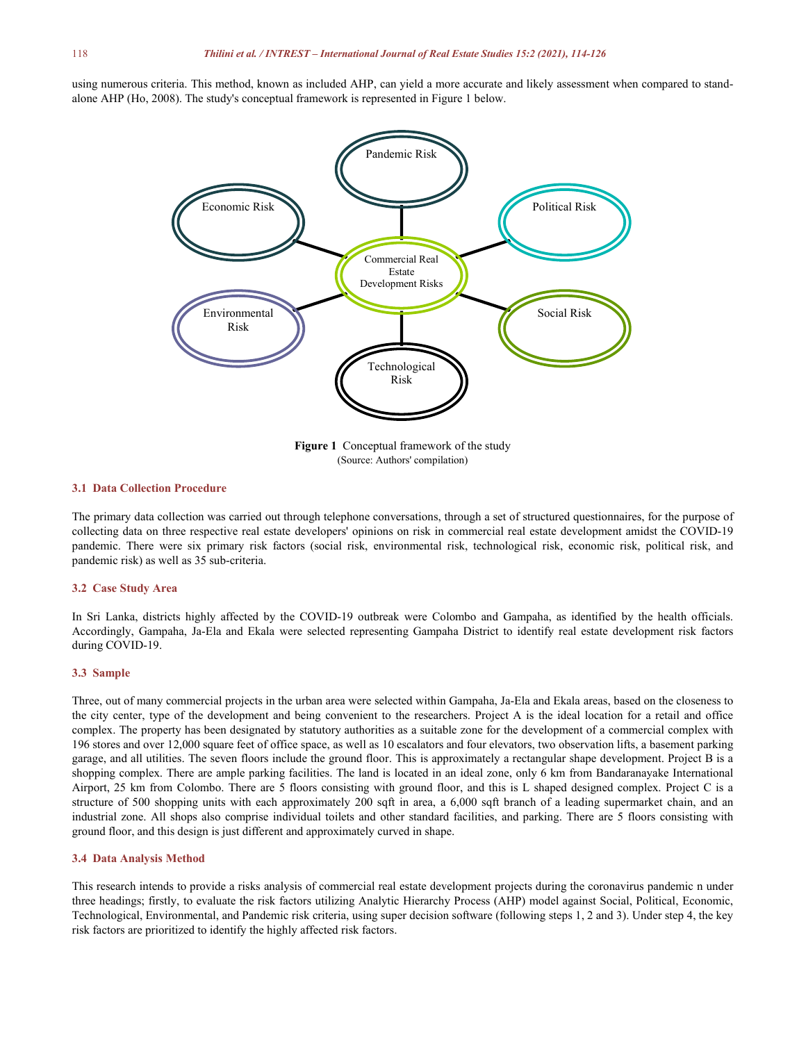using numerous criteria. This method, known as included AHP, can yield a more accurate and likely assessment when compared to stand alone AHP (Ho, 2008). The study's conceptual framework is represented in Figure 1 below.



(Source: Authors' compilation)

### **3.1 Data Collection Procedure**

The primary data collection was carried out through telephone conversations, through a set of structured questionnaires, for the purpose of collecting data on three respective real estate developers' opinions on risk in commercial real estate development amidst the COVID-19 pandemic. There were six primary risk factors (social risk, environmental risk, technological risk, economic risk, political risk, and pandemic risk) as well as 35 sub-criteria.

#### **3.2 Case Study Area**

In Sri Lanka, districts highly affected by the COVID-19 outbreak were Colombo and Gampaha, as identified by the health officials. Accordingly, Gampaha, Ja-Ela and Ekala were selected representing Gampaha District to identify real estate development risk factors during COVID-19.

#### **3.3 Sample**

Three, out of many commercial projects in the urban area were selected within Gampaha, Ja-Ela and Ekala areas, based on the closeness to the city center, type of the development and being convenient to the researchers. Project A is the ideal location for a retail and office complex. The property has been designated by statutory authorities as a suitable zone for the development of a commercial complex with 196 stores and over 12,000 square feet of office space, as well as 10 escalators and four elevators, two observation lifts, a basement parking garage, and all utilities. The seven floors include the ground floor. This is approximately a rectangular shape development. Project B is a shopping complex. There are ample parking facilities. The land is located in an ideal zone, only 6 km from Bandaranayake International Airport, 25 km from Colombo. There are 5 floors consisting with ground floor, and this is L shaped designed complex. Project C is a structure of 500 shopping units with each approximately 200 sqft in area, a 6,000 sqft branch of a leading supermarket chain, and an industrial zone. All shops also comprise individual toilets and other standard facilities, and parking. There are 5 floors consisting with ground floor, and this design is just different and approximately curved in shape.

#### **3.4 Data Analysis Method**

This research intends to provide a risks analysis of commercial real estate development projects during the coronavirus pandemic n under three headings; firstly, to evaluate the risk factors utilizing Analytic Hierarchy Process (AHP) model against Social, Political, Economic, Technological, Environmental, and Pandemic risk criteria, using super decision software (following steps 1, 2 and 3). Under step 4, the key risk factors are prioritized to identify the highly affected risk factors.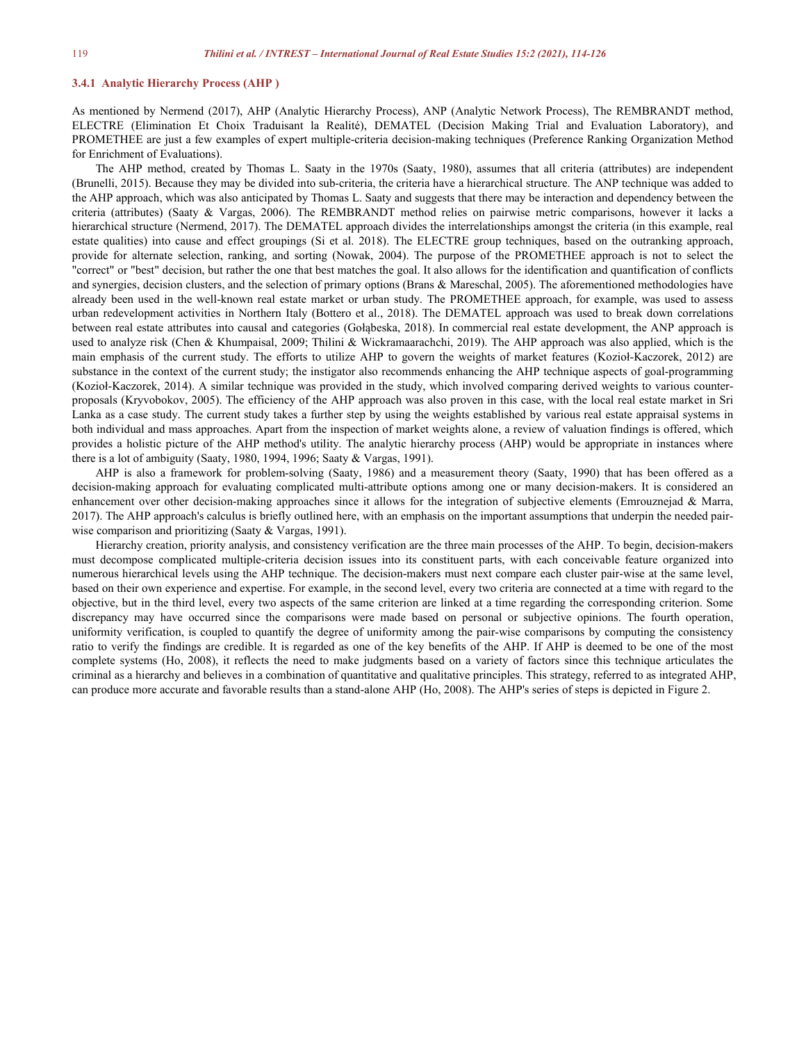#### **3.4.1 Analytic Hierarchy Process (AHP )**

As mentioned by Nermend (2017), AHP (Analytic Hierarchy Process), ANP (Analytic Network Process), The REMBRANDT method, ELECTRE (Elimination Et Choix Traduisant la Realité), DEMATEL (Decision Making Trial and Evaluation Laboratory), and PROMETHEE are just a few examples of expert multiple-criteria decision-making techniques (Preference Ranking Organization Method for Enrichment of Evaluations).

The AHP method, created by Thomas L. Saaty in the 1970s (Saaty, 1980), assumes that all criteria (attributes) are independent (Brunelli, 2015). Because they may be divided into sub-criteria, the criteria have a hierarchical structure. The ANP technique was added to the AHP approach, which was also anticipated by Thomas L. Saaty and suggests that there may be interaction and dependency between the criteria (attributes) (Saaty & Vargas,2006). The REMBRANDT method relies on pairwise metric comparisons, however itlacks a hierarchical structure (Nermend, 2017). The DEMATEL approach divides the interrelationships amongst the criteria (in this example, real estate qualities) into cause and effect groupings (Si et al. 2018). The ELECTRE group techniques, based on the outranking approach, provide for alternate selection, ranking, and sorting (Nowak, 2004). The purpose of the PROMETHEE approach is not to select the "correct" or "best" decision, but rather the one that best matches the goal. Italso allows for the identification and quantification of conflicts and synergies, decision clusters, and the selection of primary options (Brans & Mareschal, 2005). The aforementioned methodologies have already been used in the well-known real estate market or urban study. The PROMETHEE approach, for example, was used to assess urban redevelopment activities in Northern Italy (Bottero et al., 2018). The DEMATEL approach was used to break down correlations between real estate attributes into causal and categories (Gołąbeska, 2018). In commercial real estate development, the ANP approach is used to analyze risk (Chen & Khumpaisal, 2009; Thilini & Wickramaarachchi, 2019). The AHP approach was also applied, which is the main emphasis of the current study. The efforts to utilize AHP to govern the weights of market features (Kozioł-Kaczorek, 2012) are substance in the context of the current study; the instigator also recommends enhancing the AHP technique aspects of goal-programming (Kozioł-Kaczorek, 2014). A similar technique was provided in the study, which involved comparing derived weights to various counter proposals (Kryvobokov, 2005). The efficiency of the AHP approach was also proven in this case, with the local real estate market in Sri Lanka as a case study. The current study takes a further step by using the weights established by various real estate appraisal systems in both individual and mass approaches. Apart from the inspection of market weights alone, a review of valuation findings is offered, which provides a holistic picture of the AHP method's utility. The analytic hierarchy process (AHP) would be appropriate in instances where there is a lot of ambiguity (Saaty, 1980, 1994, 1996; Saaty & Vargas, 1991).

AHP is also a framework for problem-solving (Saaty, 1986) and a measurement theory (Saaty, 1990) that has been offered as a decision-making approach for evaluating complicated multi-attribute options among one or many decision-makers. It is considered an enhancement over other decision-making approaches since it allows for the integration of subjective elements (Emrouznejad & Marra, 2017). The AHP approach's calculus is briefly outlined here, with an emphasis on the important assumptions that underpin the needed pair wise comparison and prioritizing (Saaty & Vargas, 1991).

Hierarchy creation, priority analysis, and consistency verification are the three main processes of the AHP. To begin, decision-makers must decompose complicated multiple-criteria decision issues into its constituent parts, with each conceivable feature organized into numerous hierarchical levels using the AHP technique. The decision-makers must next compare each cluster pair-wise at the same level, based on their own experience and expertise. For example, in the second level, every two criteria are connected at a time with regard to the objective, but in the third level, every two aspects of the same criterion are linked at a time regarding the corresponding criterion. Some discrepancy may have occurred since the comparisons were made based on personal or subjective opinions. The fourth operation, uniformity verification, is coupled to quantify the degree of uniformity among the pair-wise comparisons by computing the consistency ratio to verify the findings are credible. It is regarded as one of the key benefits of the AHP. If AHP is deemed to be one of the most complete systems (Ho, 2008), it reflects the need to make judgments based on a variety of factors since this technique articulates the criminal as a hierarchy and believes in a combination of quantitative and qualitative principles. This strategy, referred to asintegrated AHP, can produce more accurate and favorable results than a stand-alone AHP (Ho, 2008). The AHP's series of steps is depicted in Figure 2.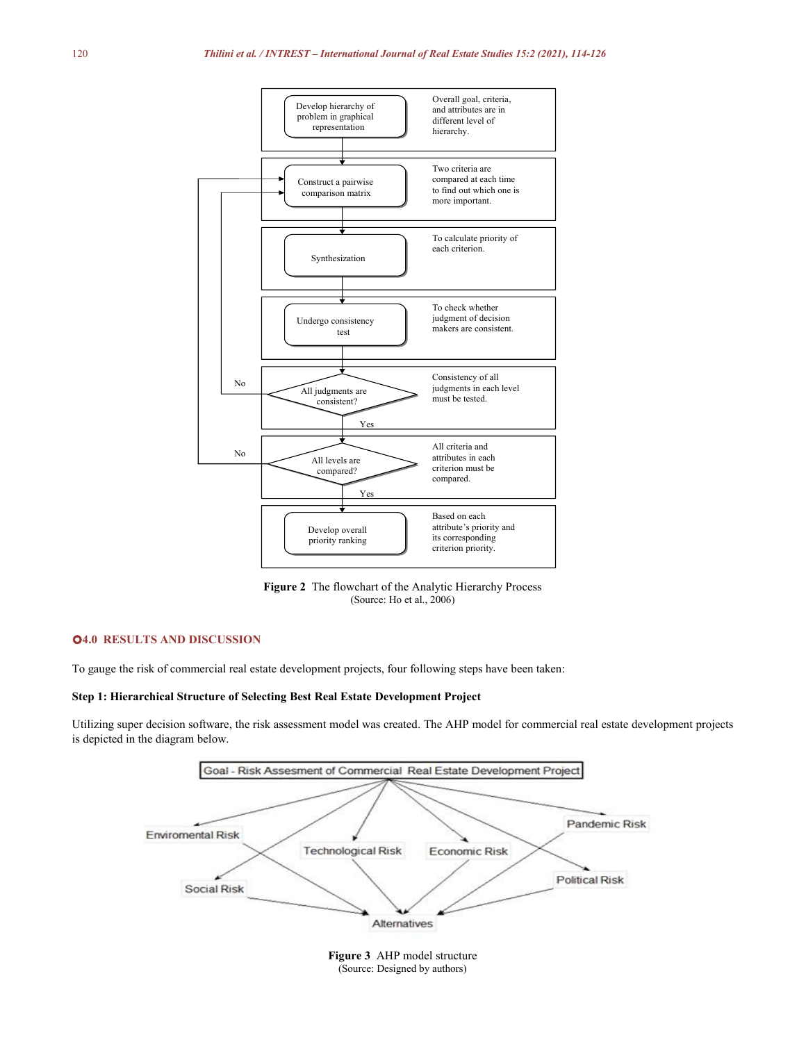

**Figure 2** The flowchart of the Analytic Hierarchy Process (Source: Ho et al., 2006)

## **4.0 RESULTS AND DISCUSSION**

To gauge the risk of commercial real estate development projects, four following steps have been taken:

#### **Step 1: Hierarchical Structure of Selecting Best Real Estate Development Project**

Utilizing super decision software, the risk assessment model was created. The AHP model forcommercial real estate development projects is depicted in the diagram below.

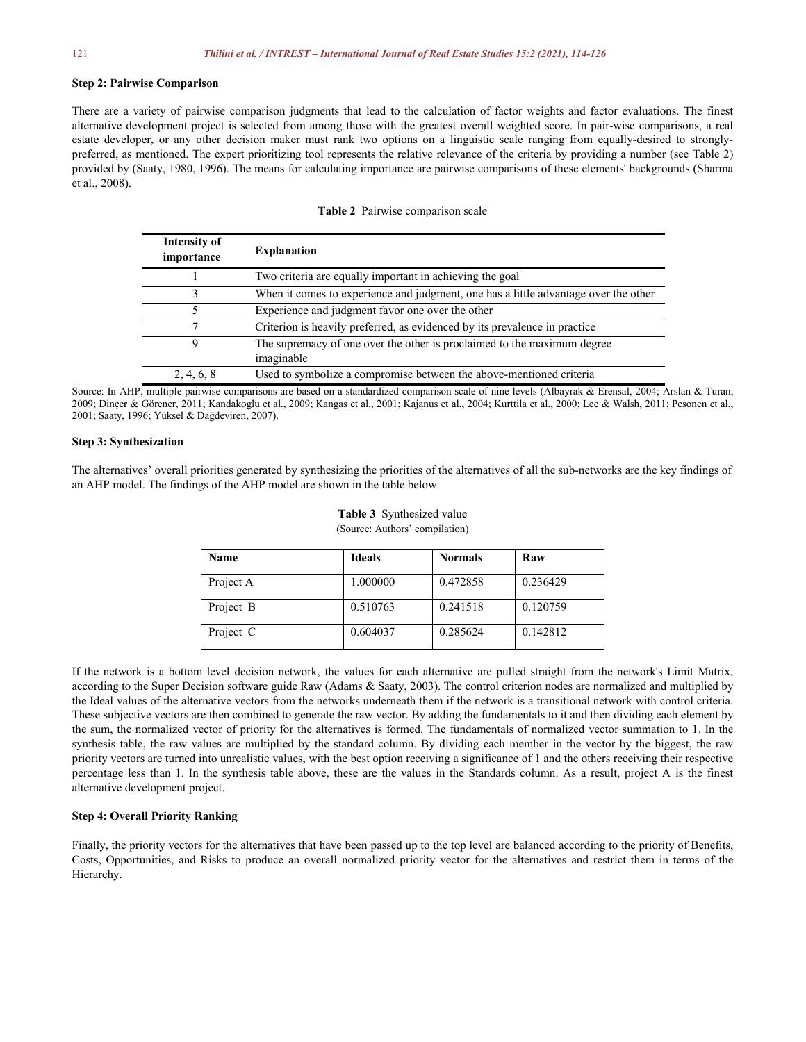#### **Step 2: Pairwise Comparison**

There are a variety of pairwise comparison judgments that lead to the calculation of factor weights and factor evaluations. The finest alternative development project is selected from among those with the greatest overall weighted score. In pair-wise comparisons, a real estate developer, or any other decision maker must rank two options on a linguistic scale ranging from equally-desired to strongly preferred, as mentioned. The expert prioritizing tool represents the relative relevance of the criteria by providing a number (see Table 2) provided by (Saaty, 1980, 1996). The means for calculating importance are pairwise comparisons of these elements' backgrounds (Sharma et al., 2008).

|  | <b>Table 2</b> Pairwise comparison scale |  |
|--|------------------------------------------|--|
|  |                                          |  |

| Intensity of<br>importance | <b>Explanation</b>                                                                    |
|----------------------------|---------------------------------------------------------------------------------------|
|                            | Two criteria are equally important in achieving the goal                              |
|                            | When it comes to experience and judgment, one has a little advantage over the other   |
|                            | Experience and judgment favor one over the other                                      |
| 7                          | Criterion is heavily preferred, as evidenced by its prevalence in practice            |
| 9                          | The supremacy of one over the other is proclaimed to the maximum degree<br>imaginable |
| 2, 4, 6, 8                 | Used to symbolize a compromise between the above-mentioned criteria                   |

Source: In AHP, multiple pairwise comparisons are based on a standardized comparison scale of nine levels (Albayrak & Erensal, 2004; Arslan & Turan, 2009; Dinçer & Görener, 2011; Kandakoglu et al., 2009; Kangas et al., 2001; Kajanus et al., 2004; Kurttila et al., 2000; Lee & Walsh, 2011; Pesonen et al., 2001; Saaty, 1996; Yüksel & Dağdeviren, 2007).

#### **Step 3: Synthesization**

The alternatives' overall priorities generated by synthesizing the priorities of the alternatives of all the sub-networks are the key findings of an AHP model. The findings of the AHP model are shown in the table below.

| Name      | <b>Ideals</b> | <b>Normals</b> | Raw      |
|-----------|---------------|----------------|----------|
| Project A | 1.000000      | 0.472858       | 0.236429 |
| Project B | 0.510763      | 0.241518       | 0.120759 |
| Project C | 0.604037      | 0.285624       | 0.142812 |

**Table 3** Synthesized value (Source: Authors' compilation)

If the network is a bottom level decision network, the values for each alternative are pulled straight from the network's Limit Matrix, according to the Super Decision software guide Raw (Adams & Saaty, 2003). The control criterion nodes are normalized and multiplied by the Ideal values of the alternative vectors from the networks underneath them if the network is a transitional network with control criteria. These subjective vectors are then combined to generate the raw vector. By adding the fundamentals to it and then dividing each element by the sum, the normalized vector of priority for the alternatives is formed. The fundamentals of normalized vector summation to 1. In the synthesis table, the raw values are multiplied by the standard column. By dividing each member in the vector by the biggest, the raw priority vectors are turned into unrealistic values, with the best option receiving a significance of 1 and the others receiving their respective percentage less than 1. In the synthesis table above, these are the values in the Standards column. As a result, project A is the finest alternative development project.

### **Step 4: Overall Priority Ranking**

Finally, the priority vectors for the alternatives that have been passed up to the top level are balanced according to the priority of Benefits, Costs, Opportunities, and Risks to produce an overall normalized priority vector for the alternatives and restrict them in terms of the Hierarchy.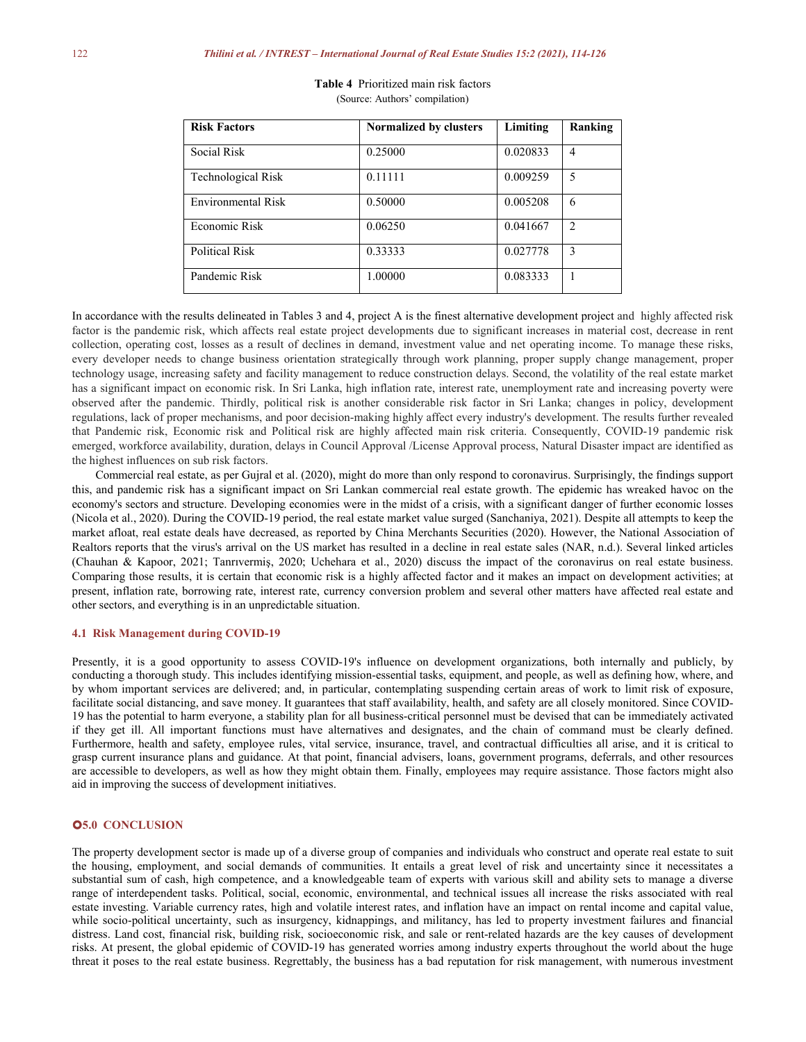| <b>Risk Factors</b> | Normalized by clusters | Limiting | Ranking        |
|---------------------|------------------------|----------|----------------|
| Social Risk         | 0.25000                | 0.020833 | $\overline{4}$ |
| Technological Risk  | 0.11111                | 0.009259 | 5              |
| Environmental Risk  | 0.50000                | 0.005208 | 6              |
| Economic Risk       | 0.06250                | 0.041667 | $\overline{2}$ |
| Political Risk      | 0.33333                | 0.027778 | 3              |
| Pandemic Risk       | 1.00000                | 0.083333 |                |

| <b>Table 4</b> Prioritized main risk factors |  |
|----------------------------------------------|--|
| (Source: Authors' compilation)               |  |

In accordance with the results delineated in Tables 3 and 4, project A is the finest alternative development project and highly affected risk factor is the pandemic risk, which affects real estate project developments due to significant increases in material cost, decrease in rent collection, operating cost, losses as a result of declines in demand, investment value and net operating income. To manage these risks, every developer needs to change business orientation strategically through work planning, proper supply change management, proper technology usage, increasing safety and facility management to reduce construction delays. Second, the volatility of the real estate market has a significant impact on economic risk. In Sri Lanka, high inflation rate, interest rate, unemployment rate and increasing poverty were observed after the pandemic. Thirdly, political risk is another considerable risk factor in Sri Lanka; changes in policy, development regulations, lack of proper mechanisms, and poor decision-making highly affect every industry's development. The results further revealed that Pandemic risk, Economic risk and Political risk are highly affected main risk criteria. Consequently, COVID-19 pandemic risk emerged, workforce availability, duration, delays in Council Approval /License Approval process, Natural Disaster impact are identified as the highest influences on sub risk factors.

Commercial real estate, as per Gujral et al. (2020), might do more than only respond to coronavirus. Surprisingly, the findings support this, and pandemic risk has a significant impact on Sri Lankan commercial real estate growth. The epidemic has wreaked havoc on the economy's sectors and structure. Developing economies were in the midst of a crisis, with a significant danger of further economic losses (Nicola et al., 2020). During the COVID-19 period, the real estate market value surged (Sanchaniya, 2021). Despite all attempts to keep the market afloat, real estate deals have decreased, as reported by China Merchants Securities (2020). However, the National Association of Realtors reports that the virus's arrival on the US market has resulted in a decline in real estate sales (NAR, n.d.). Several linked articles (Chauhan & Kapoor, 2021; Tanrıvermiş, 2020; Uchehara et al., 2020) discuss the impact of the coronavirus on real estate business. Comparing those results, it is certain that economic risk is a highly affected factor and it makes an impact on development activities; at present, inflation rate, borrowing rate, interest rate, currency conversion problem and several other matters have affected real estate and other sectors, and everything is in an unpredictable situation.

#### **4.1 Risk Management during COVID-19**

Presently, it is a good opportunity to assess COVID-19's influence on development organizations, both internally and publicly, by conducting a thorough study. This includes identifying mission-essential tasks, equipment, and people, as well as defining how, where, and by whom important services are delivered; and, in particular, contemplating suspending certain areas of work to limit risk of exposure, facilitate social distancing, and save money. It guarantees that staff availability, health, and safety are all closely monitored. Since COVID- 19 has the potential to harm everyone, a stability plan for all business-critical personnel must be devised that can be immediately activated if they get ill. All important functions must have alternatives and designates, and the chain of command must be clearly defined. Furthermore, health and safety, employee rules, vital service, insurance, travel, and contractual difficulties all arise, and it is critical to grasp current insurance plans and guidance. At that point, financial advisers, loans, government programs, deferrals, and other resources are accessible to developers, as well as how they might obtain them. Finally, employees may require assistance. Those factors might also aid in improving the success of development initiatives.

# **5.0 CONCLUSION**

The property development sector is made up of a diverse group of companies and individuals who construct and operate real estate to suit the housing, employment, and social demands of communities. It entails a great level of risk and uncertainty since it necessitates a substantial sum of cash, high competence, and a knowledgeable team of experts with various skilland ability sets to manage a diverse range of interdependent tasks. Political, social, economic, environmental, and technical issues all increase the risks associated with real estate investing. Variable currency rates, high and volatile interest rates, and inflation have an impact on rental income and capital value, while socio-political uncertainty, such as insurgency, kidnappings, and militancy, has led to property investment failures and financial distress. Land cost, financial risk, building risk, socioeconomic risk, and sale or rent-related hazards are the key causes of development risks. At present, the global epidemic of COVID-19 has generated worries among industry experts throughout the world about the huge threat it poses to the real estate business. Regrettably, the business has a bad reputation for risk management, with numerous investment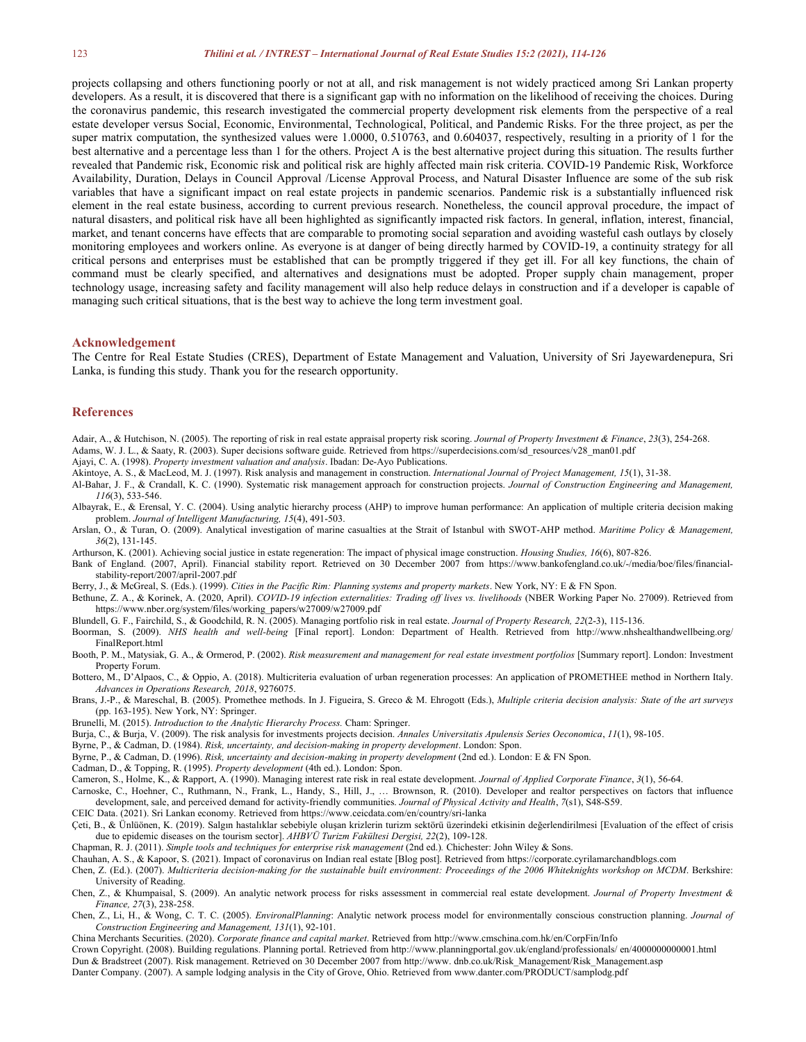#### 123 *Thilini et al. / INTREST – International Journal of Real Estate Studies 15:2 (2021), 114-126*

projects collapsing and others functioning poorly or not at all, and risk management is not widely practiced among Sri Lankan property developers. As a result, it is discovered that there is a significant gap with no information on the likelihood of receiving the choices. During the coronavirus pandemic, this research investigated the commercial property development risk elements from the perspective of a real estate developer versus Social, Economic, Environmental, Technological, Political, and Pandemic Risks. For the three project, as per the super matrix computation, the synthesized values were 1.0000, 0.510763, and 0.604037, respectively, resulting in a priority of 1 for the best alternative and a percentage less than 1 for the others. Project A is the best alternative project during this situation. The results further revealed that Pandemic risk, Economic risk and political risk are highly affected main risk criteria. COVID-19 Pandemic Risk, Workforce Availability, Duration, Delays in Council Approval /License Approval Process, and Natural Disaster Influence are some of the sub risk variables that have a significant impact on real estate projects in pandemic scenarios. Pandemic risk is a substantially influenced risk element in the real estate business, according to current previous research. Nonetheless, the council approval procedure, the impact of natural disasters, and political risk have all been highlighted as significantly impacted risk factors. In general, inflation, interest, financial, market, and tenant concerns have effects that are comparable to promoting social separation and avoiding wasteful cash outlays by closely monitoring employees and workers online. As everyone is at danger of being directly harmed by COVID-19, a continuity strategy for all critical persons and enterprises must be established that can be promptly triggered if they get ill. For all key functions, the chain of command must be clearly specified, and alternatives and designations must be adopted. Proper supply chain management, proper technology usage, increasing safety and facility management will also help reduce delays in construction and if a developer is capable of managing such critical situations, that is the best way to achieve the long term investment goal.

#### **Acknowledgement**

The Centre for Real Estate Studies (CRES), Department of Estate Management and Valuation, University of Sri Jayewardenepura, Sri Lanka, is funding this study. Thank you for the research opportunity.

#### **References**

- Adair, A., & Hutchison, N. (2005). The reporting of risk in real estate appraisal property risk scoring. *Journal of Property Investment & Finance*, *23*(3), 254-268.
- Adams, W. J. L., & Saaty, R. (2003). Super decisions software guide. Retrieved from https://superdecisions.com/sd\_resources/v28\_man01.pdf
- Ajayi, C. A. (1998). *Property investment valuation and analysis*. Ibadan: De-Ayo Publications.
- Akintoye, A. S., & MacLeod, M. J. (1997). Risk analysis and management in construction. *International Journal of Project Management, 15*(1), 31-38.
- Al-Bahar, J. F., & Crandall, K. C. (1990). Systematic risk management approach for construction projects. *Journal of Construction Engineering and Management, 116*(3), 533-546.
- Albayrak, E., & Erensal, Y. C. (2004). Using analytic hierarchy process (AHP) to improve human performance: An application of multiple criteria decision making problem. *Journal of Intelligent Manufacturing, 15*(4), 491-503.
- Arslan, O., & Turan, O. (2009). Analytical investigation of marine casualties at the Strait of Istanbul with SWOT-AHP method. *Maritime Policy & Management, 36*(2), 131-145.
- Arthurson, K. (2001). Achieving social justice in estate regeneration: The impact of physical image construction. *Housing Studies, 16*(6), 807-826.
- Bank of England. (2007, April). Financial stability report. Retrieved on 30 December 2007 from https://www.bankofengland.co.uk/-/media/boe/files/financial stability-report/2007/april-2007.pdf
- Berry, J., & McGreal, S. (Eds.). (1999). *Cities in the Pacific Rim: Planning systems and property markets*.New York, NY: E & FN Spon.
- Bethune, Z. A., & Korinek, A. (2020, April). *COVID-19 infection externalities: Trading of lives vs. livelihoods* (NBER Working Paper No. 27009). Retrieved from https://www.nber.org/system/files/working\_papers/w27009/w27009.pdf
- Blundell, G. F., Fairchild, S., & Goodchild, R. N. (2005). Managing portfolio risk in real estate. *Journal of Property Research, 22*(2-3), 115-136.
- Boorman, S. (2009). *NHS health and well-being* [Final report]. London: Department of Health. Retrieved from http://www.nhshealthandwellbeing.org/ FinalReport.html
- Booth, P. M., Matysiak, G. A., & Ormerod, P. (2002). *Risk measurement and management for real estate investment portfolios* [Summary report]. London: Investment Property Forum.
- Bottero, M., D'Alpaos, C., & Oppio, A. (2018). Multicriteria evaluation of urban regeneration processes: An application of PROMETHEE method in Northern Italy. *Advances in Operations Research, 2018*, 9276075.
- Brans, J.-P., & Mareschal, B. (2005). Promethee methods. In J. Figueira, S. Greco & M. Ehrogott (Eds.), Multiple criteria decision analysis: State of the art surveys (pp. 163-195). New York, NY: Springer.
- Brunelli, M. (2015). *Introduction to the Analytic Hierarchy Process.*Cham: Springer.
- Burja, C., & Burja, V. (2009). The risk analysis for investments projects decision. *Annales Universitatis Apulensis Series Oeconomica*, *11*(1), 98-105.
- Byrne, P., & Cadman, D. (1984). *Risk, uncertainty, and decision-making in property development*. London: Spon.
- Byrne, P., & Cadman, D. (1996). *Risk, uncertainty and decision-making in property development* (2nd ed.). London: E & FN Spon.
- Cadman, D., & Topping, R. (1995). *Property development* (4th ed.). London: Spon.
- Cameron, S., Holme, K., & Rapport, A. (1990). Managing interest rate risk in real estate development. *Journal of Applied Corporate Finance*, *3*(1), 56-64.
- Carnoske, C., Hoehner, C., Ruthmann, N., Frank, L., Handy, S., Hill, J., … Brownson, R. (2010). Developer and realtor perspectives on factors that influence development, sale, and perceived demand for activity-friendly communities. *Journal of Physical Activity and Health*, *7*(s1), S48-S59.
- CEIC Data. (2021). Sri Lankan economy. Retrieved from https://www.ceicdata.com/en/country/sri-lanka
- Çeti, B., & Ünlüönen, K. (2019). Salgın hastalıklar sebebiyle oluşan krizlerin turizm sektörü üzerindeki etkisinin değerlendirilmesi [Evaluation of the effect of crisis due to epidemic diseases on the tourism sector]. *AHBVÜ Turizm Fakültesi Dergisi, 22*(2), 109-128.
- Chapman, R. J. (2011). *Simple tools and techniques for enterprise risk management* (2nd ed.)*.* Chichester: John Wiley & Sons.
- Chauhan, A. S., & Kapoor, S. (2021). Impact of coronavirus on Indian real estate [Blog post]. Retrieved from https://corporate.cyrilamarchandblogs.com
- Chen, Z. (Ed.). (2007). Multicriteria decision-making for the sustainable built environment: Proceedings of the 2006 Whiteknights workshop on MCDM. Berkshire: University of Reading.
- Chen, Z., & Khumpaisal, S. (2009).An analytic network process for risks assessment in commercial real estate development. *Journal of Property Investment & Finance, 27*(3), 238-258.
- Chen, Z., Li, H., & Wong, C. T. C. (2005). *EnvironalPlanning*: Analytic network process model for environmentally conscious construction planning. *Journal of Construction Engineering and Management, 131*(1), 92-101.
- China Merchants Securities. (2020). *Corporate finance and capital market*. Retrieved from http://www.cmschina.com.hk/en/CorpFin/Info
- Crown Copyright. (2008). Building regulations. Planning portal. Retrieved from http://www.planningportal.gov.uk/england/professionals/ en/4000000000001.html
- Dun & Bradstreet (2007). Risk management. Retrieved on 30 December 2007 from http://www. dnb.co.uk/Risk\_Management/Risk\_Management.asp
- Danter Company. (2007). A sample lodging analysis in the City of Grove, Ohio. Retrieved from www.danter.com/PRODUCT/samplodg.pdf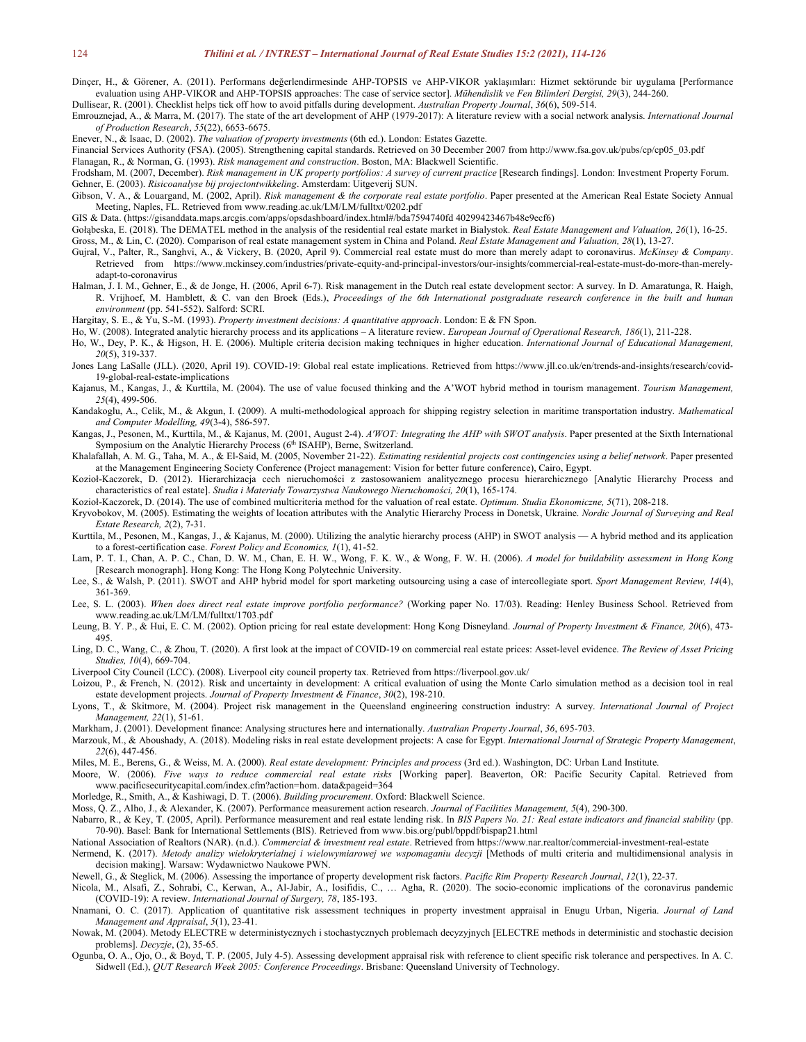Dinçer, H., & Görener, A. (2011). Performans değerlendirmesinde AHP-TOPSIS ve AHP-VIKOR yaklaşımları: Hizmet sektörunde bir uygulama [Performance evaluation using AHP-VIKOR and AHP-TOPSIS approaches: The case of service sector]. *Mühendislik ve Fen Bilimleri Dergisi, 29*(3), 244-260.

Dullisear, R. (2001). Checklist helps tick off how to avoid pitfalls during development. *Australian Property Journal*, *36*(6), 509-514.

Emrouznejad, A., & Marra, M. (2017). The state of the art development of AHP (1979-2017): A literature review with a social network analysis. *International Journal of Production Research*, *55*(22), 6653-6675.

Enever, N., & Isaac, D. (2002). *The valuation of property investments* (6th ed.). London: Estates Gazette.

Financial Services Authority (FSA). (2005). Strengthening capital standards. Retrieved on 30 December 2007 from http://www.fsa.gov.uk/pubs/cp/cp05\_03.pdf

Flanagan, R., & Norman, G. (1993). *Risk management and construction*. Boston, MA: Blackwell Scientific.

Frodsham, M. (2007, December). Risk management in UK property portfolios: A survey of current practice [Research findings]. London: Investment Property Forum. Gehner, E. (2003). *Risicoanalyse bij projectontwikkeling*. Amsterdam: Uitgeverij SUN.

Gibson, V. A., & Louargand, M. (2002, April). *Risk management & the corporate real estate portfolio*. Paper presented at the American Real Estate Society Annual Meeting, Naples, FL. Retrieved from www.reading.ac.uk/LM/LM/fulltxt/0202.pdf

GIS & Data. (https://gisanddata.maps.arcgis.com/apps/opsdashboard/index.html#/bda7594740fd 40299423467b48e9ecf6)

Gołąbeska, E. (2018). The DEMATEL method in the analysis ofthe residential real estate market in Bialystok. *Real Estate Management and Valuation, 26*(1), 16-25.

Gross, M., & Lin, C. (2020). Comparison of real estate management system in China and Poland. *Real Estate Management and Valuation, 28*(1), 13-27.

- Gujral, V., Palter, R., Sanghvi, A., & Vickery, B. (2020, April 9). Commercial real estate must do more than merely adapt to coronavirus. *McKinsey & Company*. Retrieved from https://www.mckinsey.com/industries/private-equity-and-principal-investors/our-insights/commercial-real-estate-must-do-more-than-merely adapt-to-coronavirus
- Halman, J. I. M., Gehner, E., & de Jonge, H. (2006, April 6-7). Risk management in the Dutch real estate development sector: A survey. InD. Amaratunga, R. Haigh, R. Vrijhoef, M. Hamblett, & C. van den Broek (Eds.), Proceedings of the 6th International postgraduate research conference in the built and human *environment* (pp. 541-552). Salford: SCRI.

Hargitay, S. E., & Yu, S.-M. (1993). *Property investment decisions: A quantitative approach*. London: E & FN Spon.

Ho, W. (2008). Integrated analytic hierarchy process and its applications – A literature review. *European Journal of Operational Research, 186*(1), 211-228.

Ho, W., Dey, P. K., & Higson, H. E. (2006). Multiple criteria decision making techniques in higher education. *International Journal of Educational Management, 20*(5), 319-337.

- Jones Lang LaSalle (JLL). (2020, April 19). COVID-19: Global real estate implications. Retrieved from https://www.jll.co.uk/en/trends-and-insights/research/covid-19-global-real-estate-implications
- Kajanus, M., Kangas, J., & Kurttila, M. (2004). The use of value focused thinking and the A'WOT hybrid method in tourism management. *Tourism Management, 25*(4), 499-506.
- Kandakoglu, A., Celik, M., & Akgun, I. (2009). A multi-methodological approach for shipping registry selection in maritime transportation industry. *Mathematical and Computer Modelling, 49*(3-4), 586-597.

Kangas, J., Pesonen, M., Kurttila, M., & Kajanus, M. (2001, August 2-4). *A'WOT: Integrating the AHP withSWOT analysis*. Paper presented at the Sixth International Symposium on the Analytic Hierarchy Process (6<sup>th</sup> ISAHP), Berne, Switzerland.

- Khalafallah, A. M. G., Taha, M. A., & El-Said, M. (2005, November 21-22). Estimating residential projects cost contingencies using a belief network. Paper presented at the Management Engineering Society Conference (Project management: Vision for better future conference), Cairo, Egypt.
- Kozioł-Kaczorek, D. (2012). Hierarchizacja cech nieruchomości z zastosowaniem analitycznego procesu hierarchicznego [Analytic Hierarchy Process and characteristics of real estate]. *Studia i Materiały Towarzystwa Naukowego Nieruchomości, 20*(1), 165-174.

Kozioł-Kaczorek, D. (2014). The use of combined multicriteria method for the valuation of real estate. *Optimum. Studia Ekonomiczne, 5*(71), 208-218.

Kryvobokov, M. (2005). Estimating the weights oflocation attributes with the Analytic Hierarchy Process in Donetsk, Ukraine. *Nordic Journal of Surveying and Real Estate Research, 2*(2), 7-31.

Kurttila, M., Pesonen, M., Kangas, J., & Kajanus, M. (2000). Utilizing the analytic hierarchy process (AHP) in SWOT analysis — A hybrid method and its application to a forest-certification case. *[Forest](http://ideas.repec.org/s/eee/forpol.html) Policy and [Economics,](http://ideas.repec.org/s/eee/forpol.html) 1*(1), 41-52.

- Lam, P. T. I., Chan, A. P. C., Chan, D. W. M., Chan, E. H. W., Wong, F. K. W., & Wong, F. W. H. (2006). *A model for buildability assessment in Hong Kong* [Research monograph]. Hong Kong: The Hong Kong Polytechnic University.
- Lee, S., & Walsh, P. (2011). SWOT and AHP hybrid model for sport marketing outsourcing using a case of intercollegiate sport. *Sport Management Review, 14*(4), 361-369.
- Lee, S. L. (2003). *When does direct real estate improve portfolio performance?* (Working paper No. 17/03). Reading: Henley Business School. Retrieved from www.reading.ac.uk/LM/LM/fulltxt/1703.pdf
- Leung, B. Y. P., & Hui, E. C. M. (2002). Option pricing for real estate development: Hong Kong Disneyland. *Journal of Property Investment & Finance, 20*(6), 473- 495.

Ling, D. C., Wang, C., & Zhou, T. (2020). A first look at the impact of COVID-19 on commercial real estate prices: Asset-level evidence. *The Review of Asset Pricing Studies, 10*(4), 669-704.

Liverpool City Council (LCC). (2008). Liverpool city council property tax*.* Retrieved from https://liverpool.gov.uk/

- Loizou, P., & French, N. (2012). Risk and uncertainty in development: A critical evaluation of using the Monte Carlo simulation method as a decision tool in real estate development projects. *Journal of Property Investment & Finance*, *30*(2), 198-210.
- Lyons, T., & Skitmore, M. (2004). Project risk management in the Queensland engineering construction industry: A survey. *International Journal of Project Management, 22*(1), 51-61.

Markham, J. (2001). Development finance: Analysing structures here and internationally. *Australian Property Journal*,*36*, 695-703.

- Marzouk, M., & Aboushady, A. (2018). Modeling risks in real estate development projects: A case for Egypt. *International Journal of Strategic Property Management*, *22*(6), 447-456.
- Miles, M. E., Berens, G., & Weiss, M. A. (2000). *Real estate development: Principles and process* (3rd ed.). Washington, DC: Urban Land Institute.
- Moore, W. (2006). *Five ways to reduce commercial real estate risks* [Working paper]. Beaverton, OR: Pacific Security Capital. Retrieved from www.pacificsecuritycapital.com/index.cfm?action=hom. data&pageid=364

Morledge, R., Smith, A., & Kashiwagi, D. T. (2006). *Building procurement*. Oxford: Blackwell Science.

Moss, Q. Z., Alho, J., & Alexander, K. (2007). Performance measurement action research. *Journal of Facilities Management, 5*(4), 290-300.

Nabarro, R., & Key, T. (2005, April). Performance measurement and real estate lending risk. In BIS Papers No. 21: Real estate indicators and financial stability (pp. 70-90). Basel: Bank for International Settlements (BIS). Retrieved from www.bis.org/publ/bppdf/bispap21.html

National Association of Realtors (NAR). (n.d.). *Commercial & investment real estate*. Retrieved from https://www.nar.realtor/commercial-investment-real-estate

Nermend, K. (2017). *Metody analizy wielokryterialnej i wielowymiarowej we wspomaganiu decyzji* [Methods of multi criteria and multidimensional analysis in decision making]. Warsaw: Wydawnictwo Naukowe PWN.

Newell, G., & Steglick, M. (2006). Assessing the importance of property development risk factors. *Pacific Rim Property Research Journal*, *12*(1), 22-37.

Nicola, M., Alsafi, Z., Sohrabi, C., Kerwan, A., Al-Jabir, A., Iosifidis, C., … Agha, R. (2020). The socio-economic implications of the coronavirus pandemic (COVID-19): A review. *International Journal of Surgery, 78*, 185-193.

- Nnamani, O. C. (2017). Application of quantitative risk assessment techniques in property investment appraisal in Enugu Urban, Nigeria. *Journal of Land Management and Appraisal*, *5*(1), 23-41.
- Nowak, M. (2004). Metody ELECTRE w deterministycznych i stochastycznych problemach decyzyjnych [ELECTRE methods in deterministic and stochastic decision problems]. *Decyzje*, (2), 35-65.
- Ogunba, O. A., Ojo, O., & Boyd, T. P. (2005, July 4-5). Assessing development appraisal risk with reference to client specific risk tolerance and perspectives. In A. C. Sidwell (Ed.), *QUT Research Week 2005: Conference Proceedings*. Brisbane: Queensland University of Technology.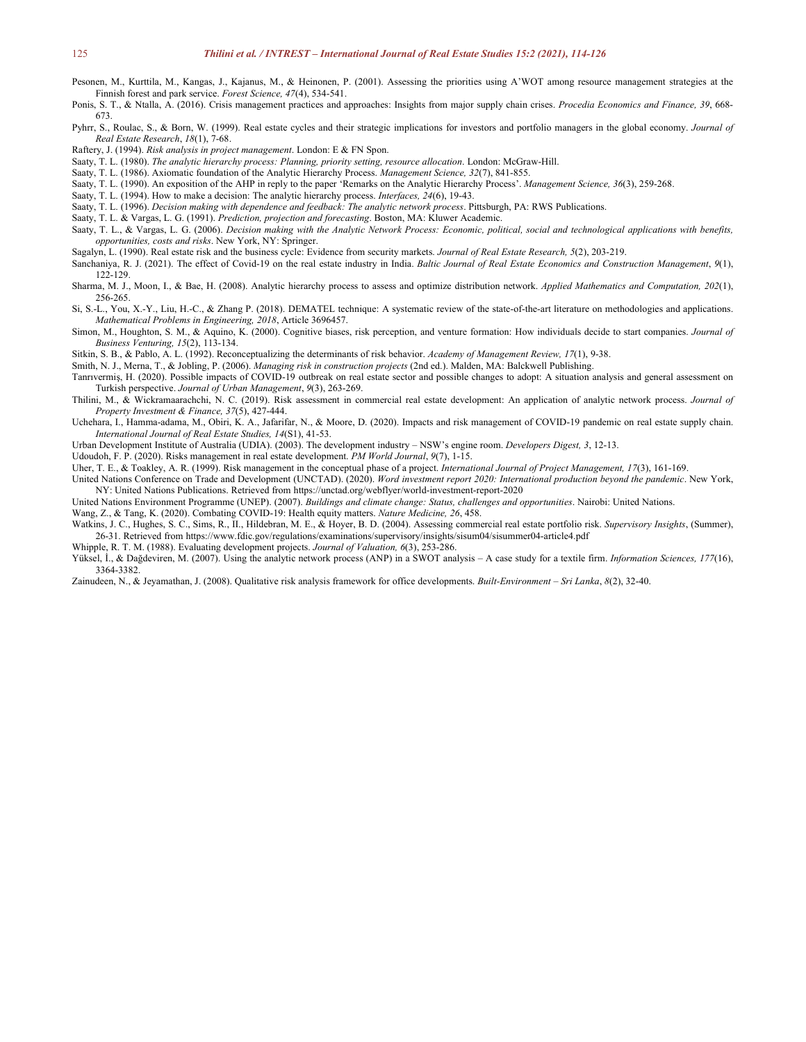- Pesonen, M., Kurttila, M., Kangas, J., Kajanus, M., & Heinonen, P. (2001). Assessing the priorities using A'WOT among resource management strategies at the Finnish forest and park service. *Forest Science, 47*(4), 534-541.
- Ponis, S. T., & Ntalla, A. (2016). Crisis management practices and approaches: Insights from major supply chain crises. *Procedia Economics and Finance, 39*, 668- 673.
- Pyhrr, S., Roulac, S., & Born, W. (1999). Realestate cycles and their strategic implications for investors and portfolio managers in the global economy. *Journal of Real Estate Research*, *18*(1), 7-68.
- Raftery, J. (1994). *Risk analysis in project management*. London: E & FN Spon.
- Saaty, T. L. (1980). *The analytic hierarchy process: Planning, priority setting, resource allocation*. London: McGraw-Hill.
- Saaty, T. L. (1986). Axiomatic foundation of the Analytic Hierarchy Process. *Management Science, 32*(7), 841-855.
- Saaty, T. L. (1990). An exposition of the AHP inreply to the paper 'Remarks on the Analytic Hierarchy Process'. *Management Science, 36*(3), 259-268.
- Saaty, T. L. (1994). How to make a decision: The analytic hierarchy process. *Interfaces, 24*(6), 19-43.
- Saaty, T. L. (1996). *Decision making with dependence and feedback: The analytic network process*.Pittsburgh, PA: RWS Publications.
- Saaty, T. L. & Vargas, L. G. (1991). *Prediction, projection and forecasting*. Boston, MA: Kluwer Academic.
- Saaty, T. L., & Vargas, L. G. (2006). Decision making with the Analytic Network Process: Economic, political, social and technological applications with benefits, *opportunities, costs and risks*. New York, NY: Springer.
- Sagalyn, L. (1990). Real estate risk and the business cycle: Evidence from security markets. *Journal of Real Estate Research, 5*(2), 203-219.
- Sanchaniya, R. J. (2021). The effect of Covid-19 on the real estate industry in India. Baltic Journal of Real Estate Economics and Construction Management, 9(1), 122-129.
- Sharma, M. J., Moon, I., & Bae, H. (2008). Analytic hierarchy process to assess and optimize distribution network. *Applied Mathematics and Computation, 202*(1), 256-265.
- Si, S.-L., You, X.-Y., Liu, H.-C., & Zhang P. (2018). DEMATEL technique: A systematic review of the state-of-the-art literature on methodologies and applications. *Mathematical Problems in Engineering, 2018*, Article 3696457.
- Simon, M., Houghton, S. M., & Aquino, K. (2000). Cognitive biases, risk perception, and venture formation: How individuals decide to start companies. *Journal of Business Venturing, 15*(2), 113-134.
- Sitkin, S. B., & Pablo, A. L. (1992). Reconceptualizing the determinants ofrisk behavior. *Academy of Management Review, 17*(1), 9-38.
- Smith, N. J., Merna, T., & Jobling, P. (2006). *Managing risk in construction projects* (2nd ed.). Malden, MA: Balckwell Publishing.
- Tanrıvermiş, H. (2020). Possible impacts of COVID-19 outbreak on real estate sector and possible changes to adopt: A situation analysis and general assessment on Turkish perspective. *Journal of Urban Management*, *9*(3), 263-269.
- Thilini, M., & Wickramaarachchi, N. C. (2019). Risk assessment in commercial real estate development: An application of analytic network process. *Journal of Property Investment & Finance, 37*(5), 427-444.
- Uchehara, I., Hamma-adama, M., Obiri, K. A., Jafarifar, N., & Moore, D. (2020). Impacts and risk management of COVID-19 pandemic on real estate supply chain. *International Journal of Real Estate Studies, 14*(S1), 41-53.
- Urban Development Institute of Australia (UDIA).(2003). The development industry NSW's engine room. *Developers Digest, 3*, 12-13.
- Udoudoh, F. P. (2020). Risks management in real estate development. *PM World Journal*, *9*(7), 1-15.
- Uher, T. E., & Toakley, A. R. (1999). Risk management in the conceptual phase of a project. *International Journal of Project Management, 17*(3), 161-169.
- United Nations Conference on Trade and Development (UNCTAD). (2020). *Word investment report 2020: International production beyond the pandemic*. New York, NY: United Nations Publications. Retrieved from https://unctad.org/webflyer/world-investment-report-2020
- United Nations Environment Programme (UNEP). (2007). *Buildings and climate change: Status, challenges and opportunities*. Nairobi: United Nations.
- Wang, Z., & Tang, K. (2020). Combating COVID-19: Health equity matters. *Nature Medicine, 26*, 458.
- Watkins, J. C., Hughes, S. C., Sims, R., II., Hildebran, M. E., & Hoyer, B. D. (2004). Assessing commercial real estate portfolio risk. *Supervisory Insights*,(Summer), 26-31. Retrieved from https://www.fdic.gov/regulations/examinations/supervisory/insights/sisum04/sisummer04-article4.pdf
- Whipple, R. T. M. (1988). Evaluating development projects. *Journal of Valuation, 6*(3), 253-286.
- Yüksel, İ., & Dağdeviren, M. (2007). Using the analytic network process (ANP) in a SWOT analysis A case study for a textile firm. *Information Sciences, 177*(16), 3364-3382.
- Zainudeen, N., & Jeyamathan, J. (2008). Qualitative risk analysis framework for office developments. *Built-Environment – Sri Lanka*, *8*(2), 32-40.